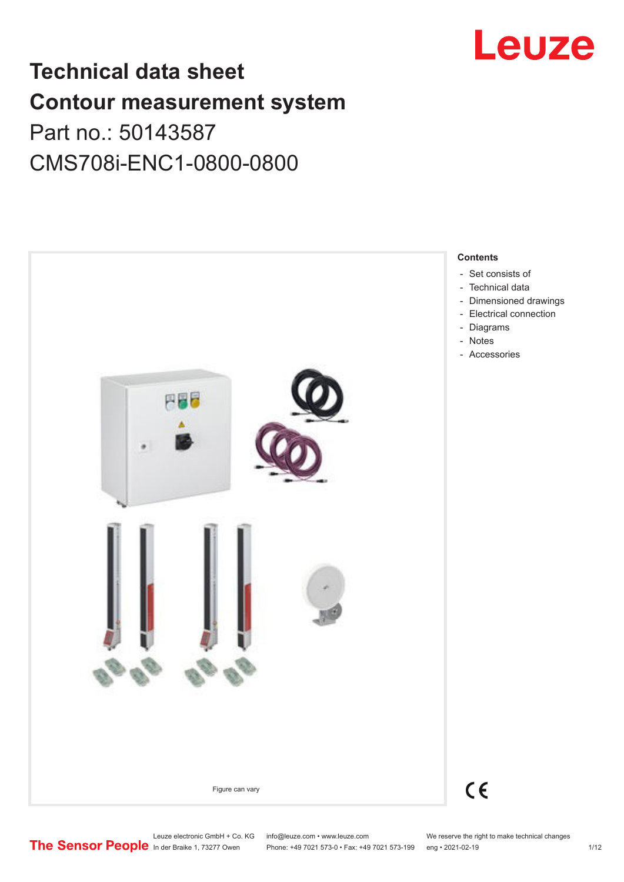

# **Technical data sheet Contour measurement system** Part no.: 50143587

CMS708i-ENC1-0800-0800

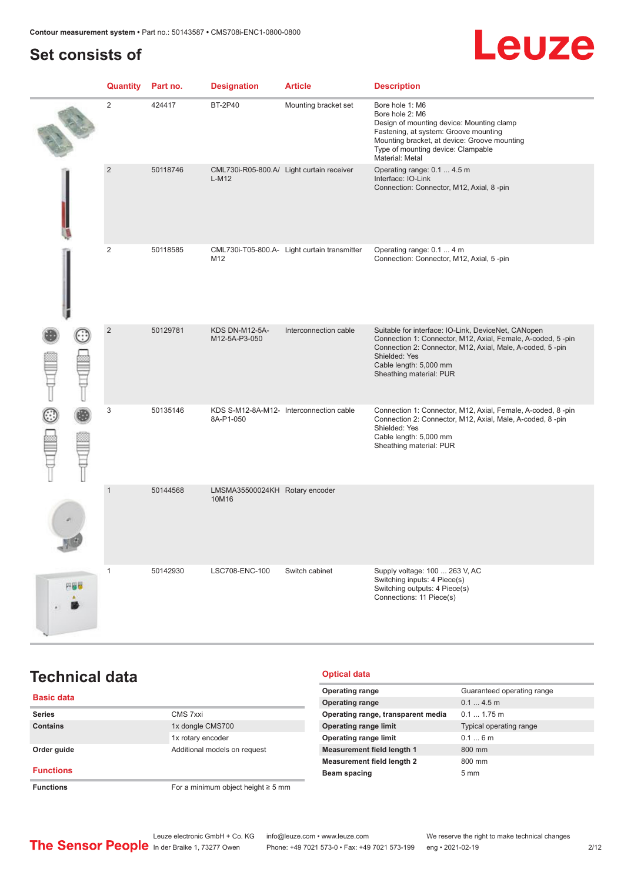# <span id="page-1-0"></span>**Set consists of**

# Leuze

|     | Quantity       | Part no. | <b>Designation</b>                      | <b>Article</b>                               | <b>Description</b>                                                                                                                                                                                                                                    |
|-----|----------------|----------|-----------------------------------------|----------------------------------------------|-------------------------------------------------------------------------------------------------------------------------------------------------------------------------------------------------------------------------------------------------------|
|     | 2              | 424417   | <b>BT-2P40</b>                          | Mounting bracket set                         | Bore hole 1: M6<br>Bore hole 2: M6<br>Design of mounting device: Mounting clamp<br>Fastening, at system: Groove mounting<br>Mounting bracket, at device: Groove mounting<br>Type of mounting device: Clampable<br>Material: Metal                     |
|     | $\overline{2}$ | 50118746 | $L-M12$                                 | CML730i-R05-800.A/ Light curtain receiver    | Operating range: 0.1  4.5 m<br>Interface: IO-Link<br>Connection: Connector, M12, Axial, 8-pin                                                                                                                                                         |
|     | $\overline{2}$ | 50118585 | M12                                     | CML730i-T05-800.A- Light curtain transmitter | Operating range: 0.1  4 m<br>Connection: Connector, M12, Axial, 5-pin                                                                                                                                                                                 |
|     | $\overline{2}$ | 50129781 | <b>KDS DN-M12-5A-</b><br>M12-5A-P3-050  | Interconnection cable                        | Suitable for interface: IO-Link, DeviceNet, CANopen<br>Connection 1: Connector, M12, Axial, Female, A-coded, 5-pin<br>Connection 2: Connector, M12, Axial, Male, A-coded, 5-pin<br>Shielded: Yes<br>Cable length: 5,000 mm<br>Sheathing material: PUR |
|     | 3              | 50135146 | 8A-P1-050                               | KDS S-M12-8A-M12- Interconnection cable      | Connection 1: Connector, M12, Axial, Female, A-coded, 8-pin<br>Connection 2: Connector, M12, Axial, Male, A-coded, 8-pin<br>Shielded: Yes<br>Cable length: 5,000 mm<br>Sheathing material: PUR                                                        |
|     | $\mathbf{1}$   | 50144568 | LMSMA35500024KH Rotary encoder<br>10M16 |                                              |                                                                                                                                                                                                                                                       |
| 円器器 | $\mathbf{1}$   | 50142930 | LSC708-ENC-100                          | Switch cabinet                               | Supply voltage: 100  263 V, AC<br>Switching inputs: 4 Piece(s)<br>Switching outputs: 4 Piece(s)<br>Connections: 11 Piece(s)                                                                                                                           |

# **Technical data**

### **Basic data Series** CMS 7xxi **Contains** 1x dongle CMS700 1x rotary encoder **Order guide Calculate Additional models on request Functions Functions** For a minimum object height ≥ 5 mm

### **Optical data**

| <b>Operating range</b>             | Guaranteed operating range |
|------------------------------------|----------------------------|
| <b>Operating range</b>             | $0.14.5$ m                 |
| Operating range, transparent media | $0.11.75$ m                |
| <b>Operating range limit</b>       | Typical operating range    |
| <b>Operating range limit</b>       | 0.16m                      |
| <b>Measurement field length 1</b>  | 800 mm                     |
| <b>Measurement field length 2</b>  | 800 mm                     |
| Beam spacing                       | $5 \text{ mm}$             |
|                                    |                            |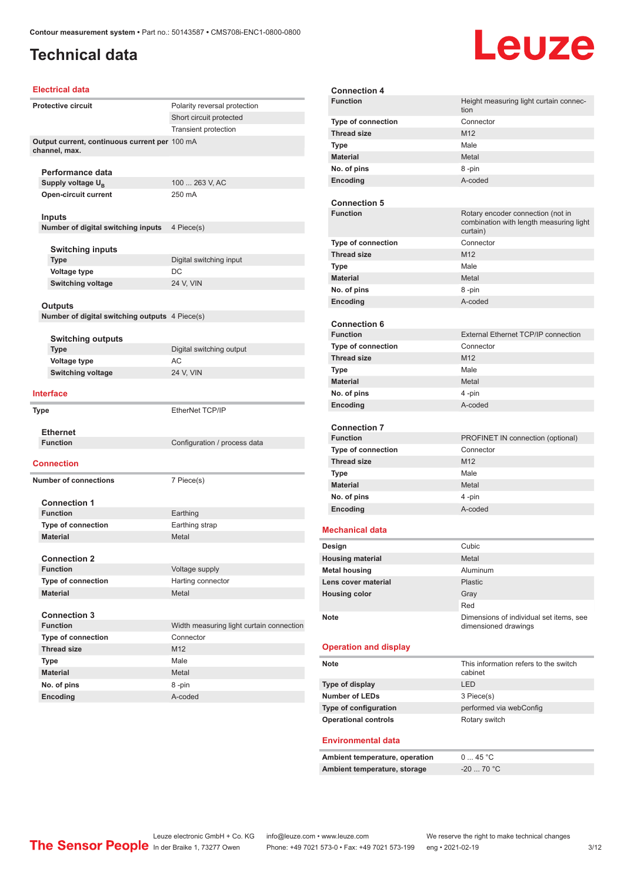# **Technical data**

# Leuze

#### **Electrical data**

| <b>Protective circuit</b>                                      | Polarity reversal protection             |
|----------------------------------------------------------------|------------------------------------------|
|                                                                | Short circuit protected                  |
|                                                                | <b>Transient protection</b>              |
| Output current, continuous current per 100 mA<br>channel, max. |                                          |
| Performance data                                               |                                          |
| Supply voltage $U_{\rm B}$                                     | 100  263 V, AC                           |
| <b>Open-circuit current</b>                                    | 250 mA                                   |
| Inputs                                                         |                                          |
| Number of digital switching inputs                             | 4 Piece(s)                               |
|                                                                |                                          |
| <b>Switching inputs</b>                                        |                                          |
| <b>Type</b>                                                    | Digital switching input                  |
| Voltage type                                                   | DC                                       |
| <b>Switching voltage</b>                                       | 24 V, VIN                                |
|                                                                |                                          |
| Outputs                                                        |                                          |
| Number of digital switching outputs 4 Piece(s)                 |                                          |
|                                                                |                                          |
| <b>Switching outputs</b>                                       |                                          |
| <b>Type</b>                                                    | Digital switching output                 |
| Voltage type                                                   | AC                                       |
| <b>Switching voltage</b>                                       | 24 V, VIN                                |
| <b>Interface</b>                                               |                                          |
| Type                                                           | EtherNet TCP/IP                          |
| <b>Ethernet</b>                                                |                                          |
| <b>Function</b>                                                | Configuration / process data             |
| Connection                                                     |                                          |
| <b>Number of connections</b>                                   | 7 Piece(s)                               |
|                                                                |                                          |
| <b>Connection 1</b>                                            |                                          |
| <b>Function</b>                                                | Earthing                                 |
| <b>Type of connection</b>                                      | Earthing strap                           |
| <b>Material</b>                                                | Metal                                    |
|                                                                |                                          |
| <b>Connection 2</b>                                            |                                          |
| <b>Function</b>                                                | Voltage supply                           |
| <b>Type of connection</b>                                      | Harting connector                        |
| <b>Material</b>                                                | Metal                                    |
|                                                                |                                          |
| <b>Connection 3</b>                                            |                                          |
| <b>Function</b>                                                | Width measuring light curtain connection |
| <b>Type of connection</b>                                      | Connector                                |
| <b>Thread size</b>                                             | M12                                      |
| Type                                                           | Male                                     |
| <b>Material</b>                                                | Metal                                    |
| No. of pins                                                    | 8-pin                                    |
| Encoding                                                       | A-coded                                  |

| <b>Connection 4</b>          |                                                                                          |
|------------------------------|------------------------------------------------------------------------------------------|
| <b>Function</b>              | Height measuring light curtain connec-                                                   |
|                              | tion                                                                                     |
| Type of connection           | Connector                                                                                |
| <b>Thread size</b>           | M <sub>12</sub>                                                                          |
| Type                         | Male                                                                                     |
| <b>Material</b>              | Metal                                                                                    |
| No. of pins                  | 8-pin                                                                                    |
| Encoding                     | A-coded                                                                                  |
|                              |                                                                                          |
| <b>Connection 5</b>          |                                                                                          |
| <b>Function</b>              | Rotary encoder connection (not in<br>combination with length measuring light<br>curtain) |
| <b>Type of connection</b>    | Connector                                                                                |
| <b>Thread size</b>           | M <sub>12</sub>                                                                          |
| Type                         | Male                                                                                     |
| <b>Material</b>              | Metal                                                                                    |
| No. of pins                  | 8-pin                                                                                    |
| Encoding                     | A-coded                                                                                  |
|                              |                                                                                          |
| <b>Connection 6</b>          |                                                                                          |
| <b>Function</b>              | External Ethernet TCP/IP connection                                                      |
| <b>Type of connection</b>    | Connector                                                                                |
| <b>Thread size</b>           | M <sub>12</sub>                                                                          |
| <b>Type</b>                  | Male                                                                                     |
| <b>Material</b>              | Metal                                                                                    |
| No. of pins                  | 4-pin                                                                                    |
| <b>Encoding</b>              | A-coded                                                                                  |
|                              |                                                                                          |
| <b>Connection 7</b>          |                                                                                          |
| <b>Function</b>              | PROFINET IN connection (optional)                                                        |
| <b>Type of connection</b>    | Connector                                                                                |
| <b>Thread size</b>           | M12                                                                                      |
| <b>Type</b>                  | Male                                                                                     |
| <b>Material</b>              | Metal                                                                                    |
| No. of pins                  | 4-pin                                                                                    |
| Encoding                     | A-coded                                                                                  |
| Mechanical data              |                                                                                          |
| Design                       | Cubic                                                                                    |
| <b>Housing material</b>      | Metal                                                                                    |
|                              | Aluminum                                                                                 |
| <b>Metal housing</b>         |                                                                                          |
| Lens cover material          | <b>Plastic</b>                                                                           |
| <b>Housing color</b>         | Gray                                                                                     |
|                              | Red                                                                                      |
| <b>Note</b>                  | Dimensions of individual set items, see<br>dimensioned drawings                          |
|                              |                                                                                          |
| <b>Operation and display</b> |                                                                                          |
| Note                         | This information refers to the switch<br>cabinet                                         |
| Type of display              | LED                                                                                      |
| <b>Number of LEDs</b>        | 3 Piece(s)                                                                               |
| Type of configuration        | performed via webConfig                                                                  |
| <b>Operational controls</b>  | Rotary switch                                                                            |
|                              |                                                                                          |

#### **Environmental data**

| Ambient temperature, operation | 0  45 °C         |
|--------------------------------|------------------|
| Ambient temperature, storage   | $-20$ 70 °C $\,$ |

Leuze electronic GmbH + Co. KG info@leuze.com • www.leuze.com We reserve the right to make technical changes In der Braike 1, 73277 Owen Phone: +49 7021 573-0 • Fax: +49 7021 573-199 eng • 2021-02-19 3/12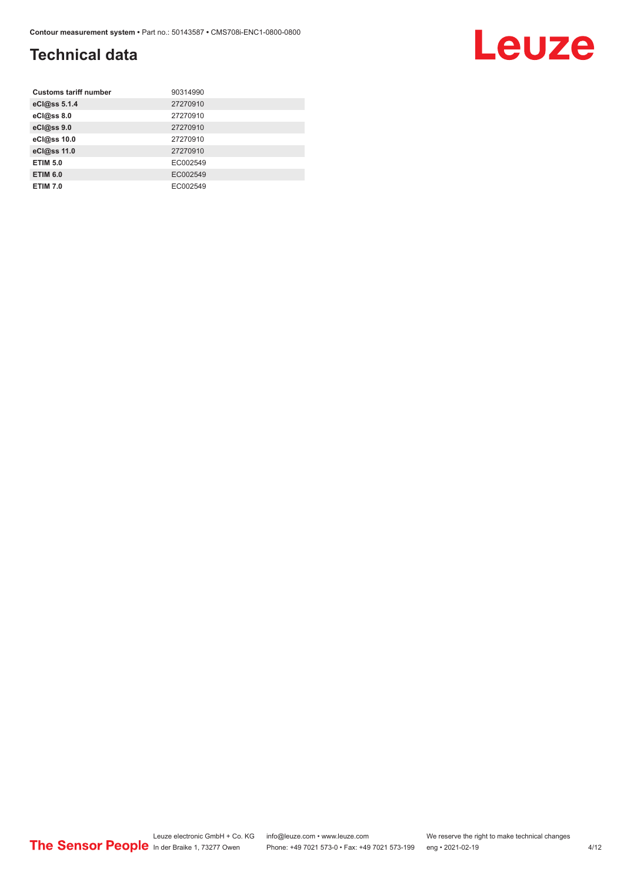# **Technical data**

| <b>Customs tariff number</b> | 90314990 |
|------------------------------|----------|
| eCl@ss 5.1.4                 | 27270910 |
| eCl@ss 8.0                   | 27270910 |
| eCl@ss 9.0                   | 27270910 |
| eCl@ss 10.0                  | 27270910 |
| eCl@ss 11.0                  | 27270910 |
| <b>ETIM 5.0</b>              | EC002549 |
| <b>ETIM 6.0</b>              | EC002549 |
| <b>ETIM 7.0</b>              | EC002549 |

Leuze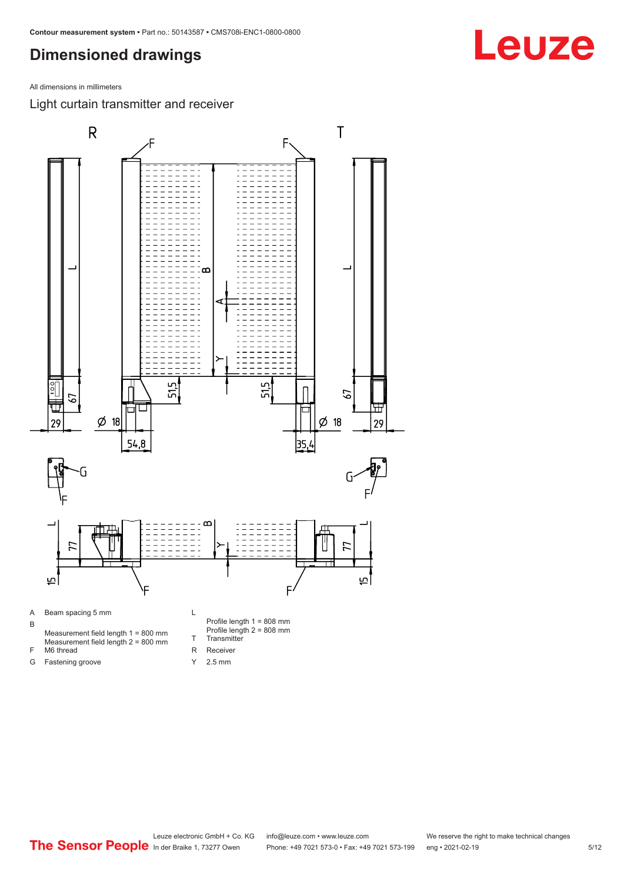<span id="page-4-0"></span>All dimensions in millimeters

Light curtain transmitter and receiver



Y 2.5 mm

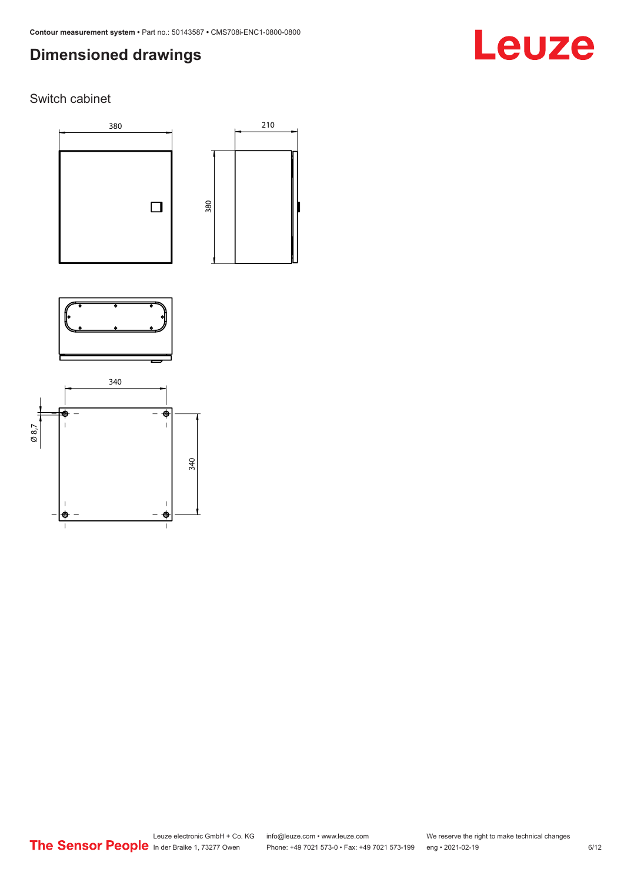# Leuze

### Switch cabinet





210



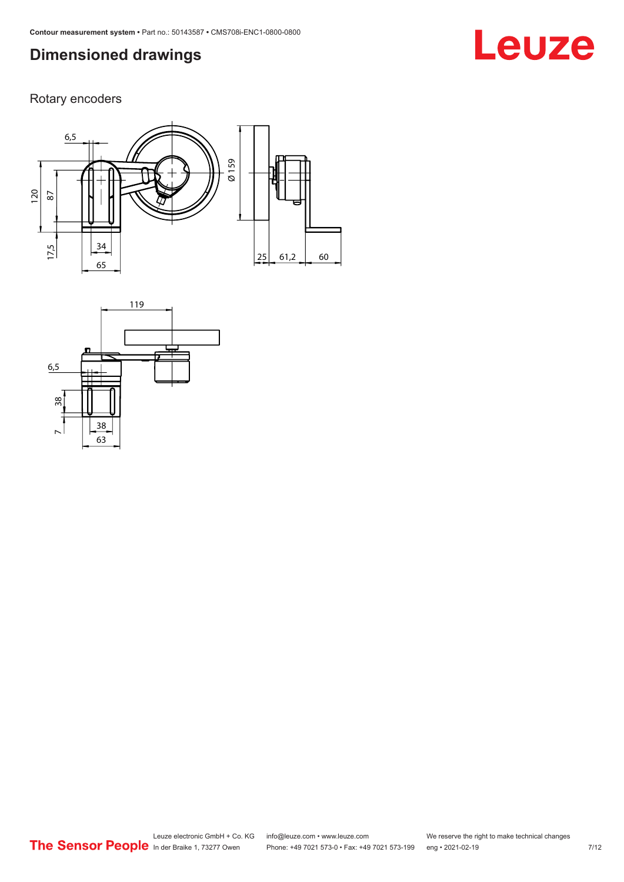# Rotary encoders





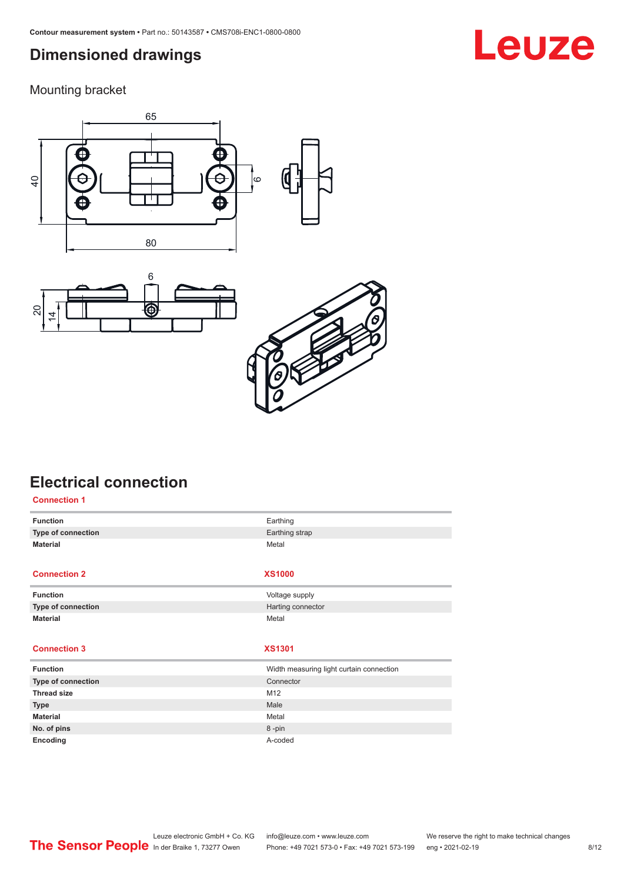<span id="page-7-0"></span>Mounting bracket







# **Electrical connection**

| <b>Connection 1</b> |                                          |
|---------------------|------------------------------------------|
| <b>Function</b>     | Earthing                                 |
| Type of connection  | Earthing strap                           |
| <b>Material</b>     | Metal                                    |
|                     |                                          |
| <b>Connection 2</b> | <b>XS1000</b>                            |
| <b>Function</b>     | Voltage supply                           |
| Type of connection  | Harting connector                        |
| <b>Material</b>     | Metal                                    |
|                     |                                          |
| <b>Connection 3</b> | <b>XS1301</b>                            |
| <b>Function</b>     | Width measuring light curtain connection |
| Type of connection  | Connector                                |
| <b>Thread size</b>  | M12                                      |
| <b>Type</b>         | Male                                     |
| <b>Material</b>     | Metal                                    |
| No. of pins         | 8-pin                                    |
| Encoding            | A-coded                                  |

# **Leuze**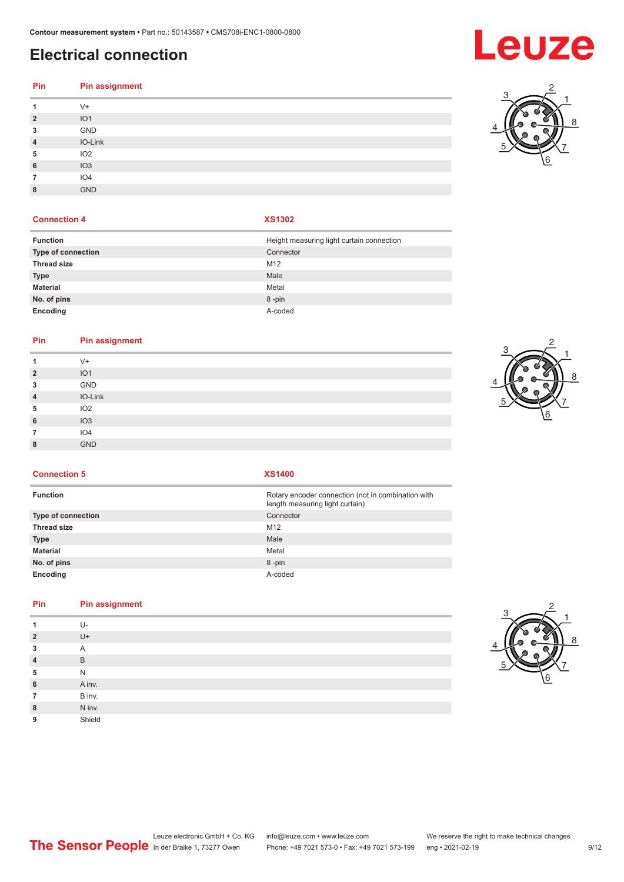# **Electrical connection**

# **Pin Pin assignment**

|                | $V +$           |
|----------------|-----------------|
| $\overline{2}$ | IO <sub>1</sub> |
| 3              | GND             |
| $\overline{4}$ | IO-Link         |
| 5              | IO <sub>2</sub> |
| 6              | IO3             |
|                | IO <sub>4</sub> |
| 8              | <b>GND</b>      |
|                |                 |

### **Connection 4 XS1302**

| <b>Function</b>    | Height measuring light curtain connection |
|--------------------|-------------------------------------------|
| Type of connection | Connector                                 |
| <b>Thread size</b> | M <sub>12</sub>                           |
| <b>Type</b>        | Male                                      |
| <b>Material</b>    | Metal                                     |
| No. of pins        | 8-pin                                     |
| Encoding           | A-coded                                   |

#### **Pin Pin assignment**

| $V +$<br>IO <sub>1</sub><br>GND<br>IO-Link<br>IO <sub>2</sub><br>IO3<br>IO4<br><b>GND</b> |                |  |
|-------------------------------------------------------------------------------------------|----------------|--|
|                                                                                           | 1              |  |
|                                                                                           | $\overline{2}$ |  |
|                                                                                           | 3              |  |
|                                                                                           | $\overline{4}$ |  |
|                                                                                           | 5              |  |
|                                                                                           | 6              |  |
|                                                                                           | 7              |  |
|                                                                                           | 8              |  |



**Connection 5 XS1400**

| <b>Function</b>           | Rotary encoder connection (not in combination with<br>length measuring light curtain) |
|---------------------------|---------------------------------------------------------------------------------------|
| <b>Type of connection</b> | Connector                                                                             |
| <b>Thread size</b>        | M12                                                                                   |
| <b>Type</b>               | Male                                                                                  |
| Material                  | Metal                                                                                 |
| No. of pins               | 8-pin                                                                                 |
| Encoding                  | A-coded                                                                               |

### **Pin Pin assignment**

|                | U-     |
|----------------|--------|
| $\overline{2}$ | $U +$  |
| 3              | Α      |
| $\overline{4}$ | B      |
| 5              | N      |
| 6              | A inv. |
| 7              | B inv. |
| 8              | N inv. |
| 9              | Shield |



# **Leuze**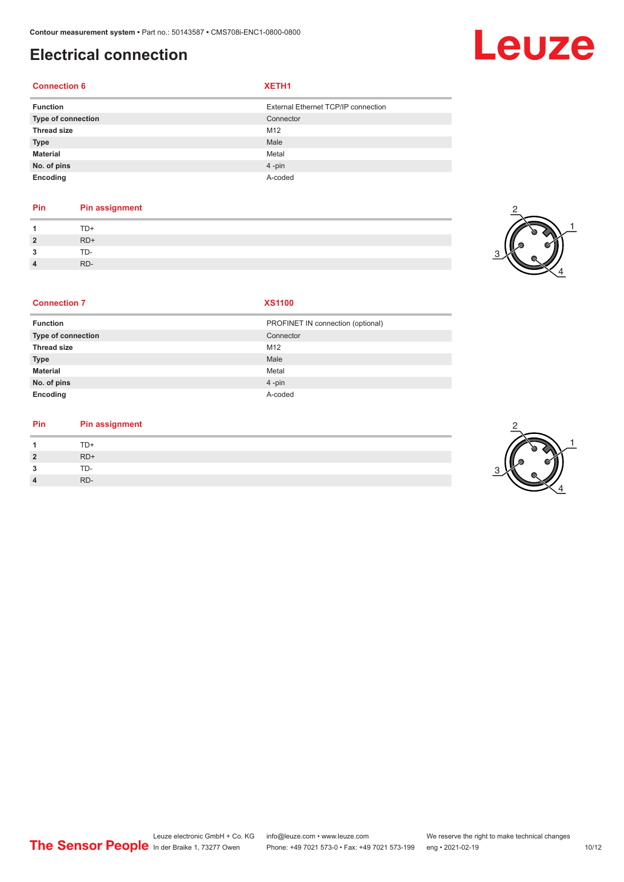# **Electrical connection**

### **Connection 6 XETH1**

| <b>Function</b>    | External Ethernet TCP/IP connection |
|--------------------|-------------------------------------|
| Type of connection | Connector                           |
| <b>Thread size</b> | M <sub>12</sub>                     |
| <b>Type</b>        | Male                                |
| <b>Material</b>    | Metal                               |
| No. of pins        | $4 - pin$                           |
| Encoding           | A-coded                             |

### **Pin Pin assignment**

|                | TD+   |
|----------------|-------|
| $\overline{2}$ | $RD+$ |
| 3              | TD-   |
| $\Lambda$      | RD-   |



Leuze

#### **Connection 7 XS1100**

| <b>Function</b>    | PROFINET IN connection (optional) |
|--------------------|-----------------------------------|
| Type of connection | Connector                         |
| <b>Thread size</b> | M <sub>12</sub>                   |
| <b>Type</b>        | Male                              |
| <b>Material</b>    | Metal                             |
| No. of pins        | $4$ -pin                          |
| Encoding           | A-coded                           |

### **Pin Pin assignment**

| $\overline{1}$ | $TD+$ |
|----------------|-------|
| $\overline{2}$ | $RD+$ |
| 3              | TD-   |
| $\overline{4}$ | RD-   |



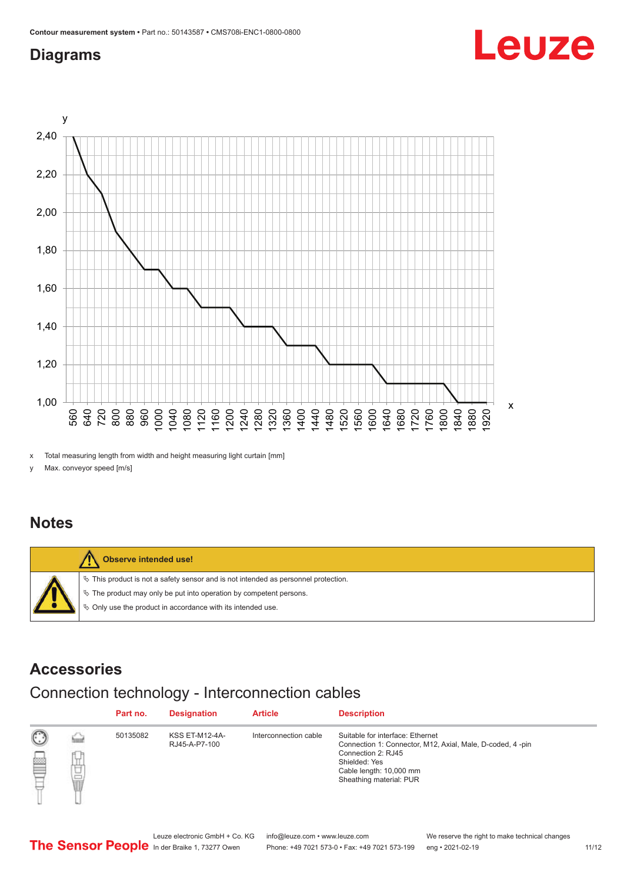## <span id="page-10-0"></span>**Diagrams**



x Total measuring length from width and height measuring light curtain [mm]

y Max. conveyor speed [m/s]

### **Notes**



### **Accessories**

# Connection technology - Interconnection cables

|   |                     | Part no. | <b>Designation</b>                     | <b>Article</b>        | <b>Description</b>                                                                                                                                                                         |
|---|---------------------|----------|----------------------------------------|-----------------------|--------------------------------------------------------------------------------------------------------------------------------------------------------------------------------------------|
| ▩ | <b>Spring</b><br>甘量 | 50135082 | <b>KSS ET-M12-4A-</b><br>RJ45-A-P7-100 | Interconnection cable | Suitable for interface: Ethernet<br>Connection 1: Connector, M12, Axial, Male, D-coded, 4-pin<br>Connection 2: RJ45<br>Shielded: Yes<br>Cable length: 10,000 mm<br>Sheathing material: PUR |

Leuze